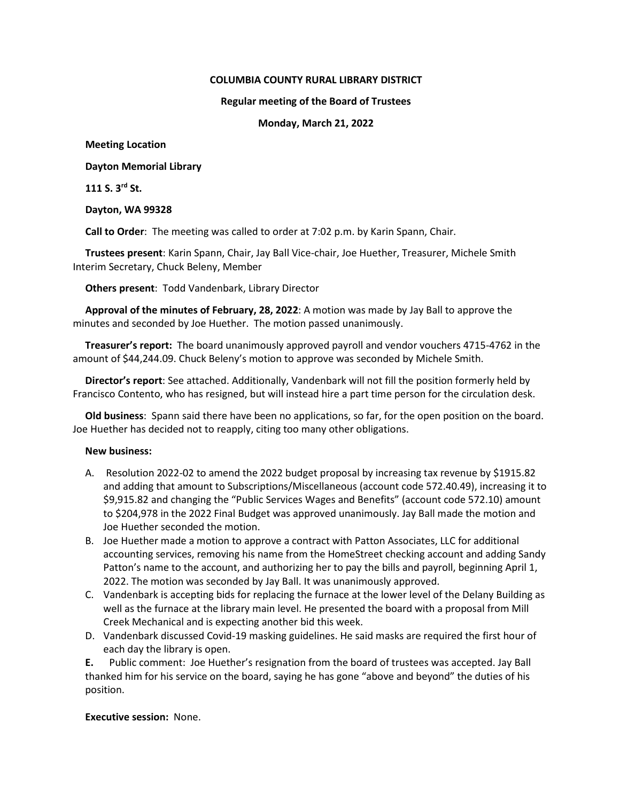### **COLUMBIA COUNTY RURAL LIBRARY DISTRICT**

#### **Regular meeting of the Board of Trustees**

### **Monday, March 21, 2022**

### **Meeting Location**

# **Dayton Memorial Library**

**111 S. 3rd St.**

### **Dayton, WA 99328**

**Call to Order**: The meeting was called to order at 7:02 p.m. by Karin Spann, Chair.

**Trustees present**: Karin Spann, Chair, Jay Ball Vice-chair, Joe Huether, Treasurer, Michele Smith Interim Secretary, Chuck Beleny, Member

**Others present**: Todd Vandenbark, Library Director

**Approval of the minutes of February, 28, 2022**: A motion was made by Jay Ball to approve the minutes and seconded by Joe Huether. The motion passed unanimously.

**Treasurer's report:** The board unanimously approved payroll and vendor vouchers 4715-4762 in the amount of \$44,244.09. Chuck Beleny's motion to approve was seconded by Michele Smith.

**Director's report**: See attached. Additionally, Vandenbark will not fill the position formerly held by Francisco Contento, who has resigned, but will instead hire a part time person for the circulation desk.

**Old business**: Spann said there have been no applications, so far, for the open position on the board. Joe Huether has decided not to reapply, citing too many other obligations.

# **New business:**

- A. Resolution 2022-02 to amend the 2022 budget proposal by increasing tax revenue by \$1915.82 and adding that amount to Subscriptions/Miscellaneous (account code 572.40.49), increasing it to \$9,915.82 and changing the "Public Services Wages and Benefits" (account code 572.10) amount to \$204,978 in the 2022 Final Budget was approved unanimously. Jay Ball made the motion and Joe Huether seconded the motion.
- B. Joe Huether made a motion to approve a contract with Patton Associates, LLC for additional accounting services, removing his name from the HomeStreet checking account and adding Sandy Patton's name to the account, and authorizing her to pay the bills and payroll, beginning April 1, 2022. The motion was seconded by Jay Ball. It was unanimously approved.
- C. Vandenbark is accepting bids for replacing the furnace at the lower level of the Delany Building as well as the furnace at the library main level. He presented the board with a proposal from Mill Creek Mechanical and is expecting another bid this week.
- D. Vandenbark discussed Covid-19 masking guidelines. He said masks are required the first hour of each day the library is open.

**E.** Public comment: Joe Huether's resignation from the board of trustees was accepted. Jay Ball thanked him for his service on the board, saying he has gone "above and beyond" the duties of his position.

# **Executive session:** None.